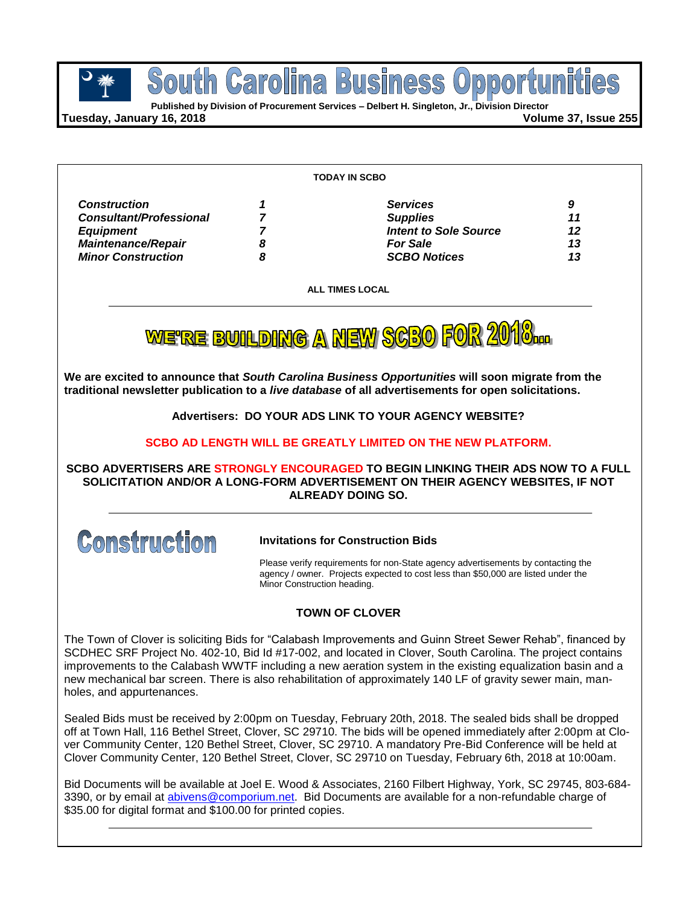

pport **Published by Division of Procurement Services – Delbert H. Singleton, Jr., Division Director**

**Busi** 

**Tuesday, January 16, 2018 Volume 37, Issue 255**

South Carolina

| <b>Construction</b><br><b>Services</b><br>9<br><b>Consultant/Professional</b><br><b>Supplies</b><br>11<br><b>Intent to Sole Source</b><br>12<br><b>Equipment</b><br><b>Maintenance/Repair</b><br>13<br><b>For Sale</b><br>8<br><b>SCBO Notices</b><br>8<br>13 |                           | <b>TODAY IN SCBO</b>   |  |
|---------------------------------------------------------------------------------------------------------------------------------------------------------------------------------------------------------------------------------------------------------------|---------------------------|------------------------|--|
|                                                                                                                                                                                                                                                               |                           |                        |  |
|                                                                                                                                                                                                                                                               |                           |                        |  |
|                                                                                                                                                                                                                                                               |                           |                        |  |
|                                                                                                                                                                                                                                                               |                           |                        |  |
|                                                                                                                                                                                                                                                               | <b>Minor Construction</b> |                        |  |
|                                                                                                                                                                                                                                                               |                           | <b>ALL TIMES LOCAL</b> |  |

**We are excited to announce that** *South Carolina Business Opportunities* **will soon migrate from the traditional newsletter publication to a** *live database* **of all advertisements for open solicitations.**

**Advertisers: DO YOUR ADS LINK TO YOUR AGENCY WEBSITE?**

**SCBO AD LENGTH WILL BE GREATLY LIMITED ON THE NEW PLATFORM.**

### **SCBO ADVERTISERS ARE STRONGLY ENCOURAGED TO BEGIN LINKING THEIR ADS NOW TO A FULL SOLICITATION AND/OR A LONG-FORM ADVERTISEMENT ON THEIR AGENCY WEBSITES, IF NOT ALREADY DOING SO.**



**Invitations for Construction Bids**

Please verify requirements for non-State agency advertisements by contacting the agency / owner. Projects expected to cost less than \$50,000 are listed under the Minor Construction heading.

### **TOWN OF CLOVER**

The Town of Clover is soliciting Bids for "Calabash Improvements and Guinn Street Sewer Rehab", financed by SCDHEC SRF Project No. 402-10, Bid Id #17-002, and located in Clover, South Carolina. The project contains improvements to the Calabash WWTF including a new aeration system in the existing equalization basin and a new mechanical bar screen. There is also rehabilitation of approximately 140 LF of gravity sewer main, manholes, and appurtenances.

Sealed Bids must be received by 2:00pm on Tuesday, February 20th, 2018. The sealed bids shall be dropped off at Town Hall, 116 Bethel Street, Clover, SC 29710. The bids will be opened immediately after 2:00pm at Clover Community Center, 120 Bethel Street, Clover, SC 29710. A mandatory Pre-Bid Conference will be held at Clover Community Center, 120 Bethel Street, Clover, SC 29710 on Tuesday, February 6th, 2018 at 10:00am.

Bid Documents will be available at Joel E. Wood & Associates, 2160 Filbert Highway, York, SC 29745, 803-684 3390, or by email at [abivens@comporium.net.](mailto:abivens@comporium.net) Bid Documents are available for a non-refundable charge of \$35.00 for digital format and \$100.00 for printed copies.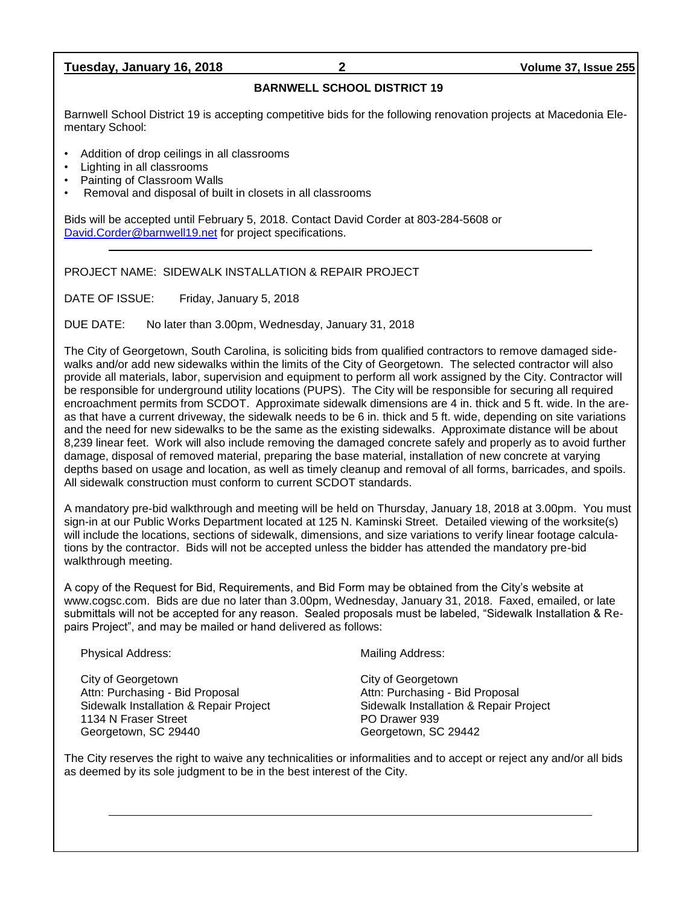### **Tuesday, January 16, 2018 2 Volume 37, Issue 255**

### **BARNWELL SCHOOL DISTRICT 19**

Barnwell School District 19 is accepting competitive bids for the following renovation projects at Macedonia Elementary School:

- Addition of drop ceilings in all classrooms
- Lighting in all classrooms
- Painting of Classroom Walls
- Removal and disposal of built in closets in all classrooms

Bids will be accepted until February 5, 2018. Contact David Corder at 803-284-5608 or [David.Corder@barnwell19.net](mailto:David.Corder@barnwell19.net) for project specifications.

### PROJECT NAME: SIDEWALK INSTALLATION & REPAIR PROJECT

DATE OF ISSUE: Friday, January 5, 2018

DUE DATE: No later than 3.00pm, Wednesday, January 31, 2018

The City of Georgetown, South Carolina, is soliciting bids from qualified contractors to remove damaged sidewalks and/or add new sidewalks within the limits of the City of Georgetown. The selected contractor will also provide all materials, labor, supervision and equipment to perform all work assigned by the City. Contractor will be responsible for underground utility locations (PUPS). The City will be responsible for securing all required encroachment permits from SCDOT. Approximate sidewalk dimensions are 4 in. thick and 5 ft. wide. In the areas that have a current driveway, the sidewalk needs to be 6 in. thick and 5 ft. wide, depending on site variations and the need for new sidewalks to be the same as the existing sidewalks. Approximate distance will be about 8,239 linear feet. Work will also include removing the damaged concrete safely and properly as to avoid further damage, disposal of removed material, preparing the base material, installation of new concrete at varying depths based on usage and location, as well as timely cleanup and removal of all forms, barricades, and spoils. All sidewalk construction must conform to current SCDOT standards.

A mandatory pre-bid walkthrough and meeting will be held on Thursday, January 18, 2018 at 3.00pm. You must sign-in at our Public Works Department located at 125 N. Kaminski Street. Detailed viewing of the worksite(s) will include the locations, sections of sidewalk, dimensions, and size variations to verify linear footage calculations by the contractor. Bids will not be accepted unless the bidder has attended the mandatory pre-bid walkthrough meeting.

A copy of the Request for Bid, Requirements, and Bid Form may be obtained from the City's website at www.cogsc.com. Bids are due no later than 3.00pm, Wednesday, January 31, 2018. Faxed, emailed, or late submittals will not be accepted for any reason. Sealed proposals must be labeled, "Sidewalk Installation & Repairs Project", and may be mailed or hand delivered as follows:

Physical Address: Mailing Address: Mailing Address:

City of Georgetown City of Georgetown Attn: Purchasing - Bid Proposal **Attn: Purchasing - Bid Proposal** 1134 N Fraser Street **PO Drawer 939** Georgetown, SC 29440 Georgetown, SC 29442

Sidewalk Installation & Repair Project Sidewalk Installation & Repair Project

The City reserves the right to waive any technicalities or informalities and to accept or reject any and/or all bids as deemed by its sole judgment to be in the best interest of the City.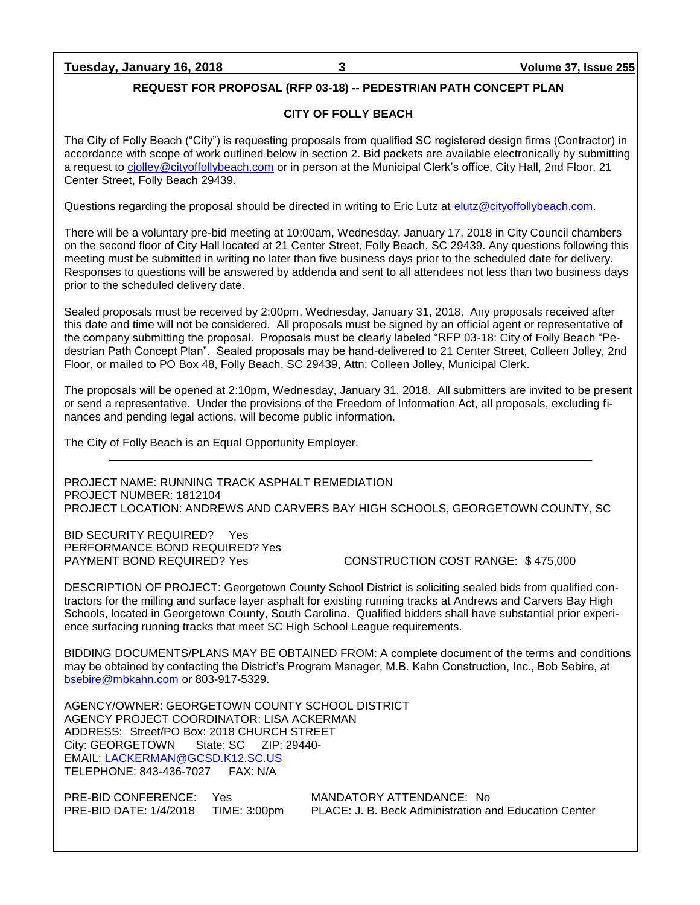### **Tuesday, January 16, 2018 3 Volume 37, Issue 255**

### **REQUEST FOR PROPOSAL (RFP 03-18) -- PEDESTRIAN PATH CONCEPT PLAN**

### **CITY OF FOLLY BEACH**

The City of Folly Beach ("City") is requesting proposals from qualified SC registered design firms (Contractor) in accordance with scope of work outlined below in section 2. Bid packets are available electronically by submitting a request to [cjolley@cityoffollybeach.com](mailto:cjolley@cityoffollybeach.com) or in person at the Municipal Clerk's office, City Hall, 2nd Floor, 21 Center Street, Folly Beach 29439.

Questions regarding the proposal should be directed in writing to Eric Lutz at [elutz@cityoffollybeach.com.](mailto:elutz@cityoffollybeach.com)

There will be a voluntary pre-bid meeting at 10:00am, Wednesday, January 17, 2018 in City Council chambers on the second floor of City Hall located at 21 Center Street, Folly Beach, SC 29439. Any questions following this meeting must be submitted in writing no later than five business days prior to the scheduled date for delivery. Responses to questions will be answered by addenda and sent to all attendees not less than two business days prior to the scheduled delivery date.

Sealed proposals must be received by 2:00pm, Wednesday, January 31, 2018. Any proposals received after this date and time will not be considered. All proposals must be signed by an official agent or representative of the company submitting the proposal. Proposals must be clearly labeled "RFP 03-18: City of Folly Beach "Pedestrian Path Concept Plan". Sealed proposals may be hand-delivered to 21 Center Street, Colleen Jolley, 2nd Floor, or mailed to PO Box 48, Folly Beach, SC 29439, Attn: Colleen Jolley, Municipal Clerk.

The proposals will be opened at 2:10pm, Wednesday, January 31, 2018. All submitters are invited to be present or send a representative. Under the provisions of the Freedom of Information Act, all proposals, excluding finances and pending legal actions, will become public information.

The City of Folly Beach is an Equal Opportunity Employer.

PROJECT NAME: RUNNING TRACK ASPHALT REMEDIATION PROJECT NUMBER: 1812104 PROJECT LOCATION: ANDREWS AND CARVERS BAY HIGH SCHOOLS, GEORGETOWN COUNTY, SC

BID SECURITY REQUIRED? Yes PERFORMANCE BOND REQUIRED? Yes

PAYMENT BOND REQUIRED? Yes CONSTRUCTION COST RANGE: \$ 475,000

DESCRIPTION OF PROJECT: Georgetown County School District is soliciting sealed bids from qualified contractors for the milling and surface layer asphalt for existing running tracks at Andrews and Carvers Bay High Schools, located in Georgetown County, South Carolina. Qualified bidders shall have substantial prior experience surfacing running tracks that meet SC High School League requirements.

BIDDING DOCUMENTS/PLANS MAY BE OBTAINED FROM: A complete document of the terms and conditions may be obtained by contacting the District's Program Manager, M.B. Kahn Construction, Inc., Bob Sebire, at [bsebire@mbkahn.com](mailto:bsebire@mbkahn.com) or 803-917-5329.

AGENCY/OWNER: GEORGETOWN COUNTY SCHOOL DISTRICT AGENCY PROJECT COORDINATOR: LISA ACKERMAN ADDRESS: Street/PO Box: 2018 CHURCH STREET City: GEORGETOWN State: SC ZIP: 29440- EMAIL: [LACKERMAN@GCSD.K12.SC.US](mailto:LACKERMAN@GCSD.K12.SC.US) TELEPHONE: 843-436-7027 FAX: N/A

PRE-BID CONFERENCE: Yes MANDATORY ATTENDANCE: No

PRE-BID DATE: 1/4/2018 TIME: 3:00pm PLACE: J. B. Beck Administration and Education Center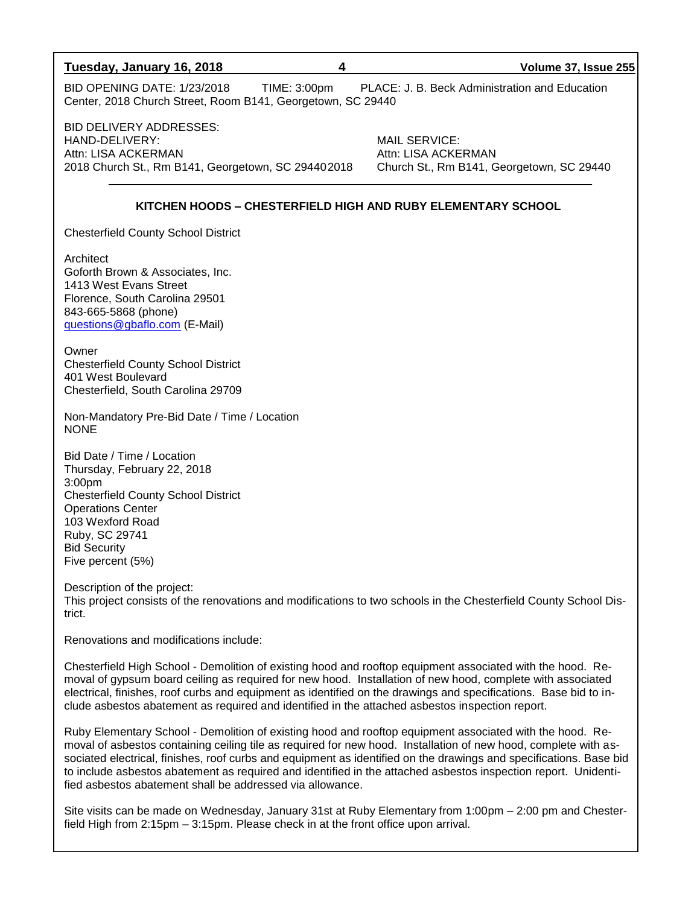| Tuesday, January 16, 2018<br>4                                                                                                                                                                                                                                                                                                                                                                                                                                                                                                   | Volume 37, Issue 255                                                                     |
|----------------------------------------------------------------------------------------------------------------------------------------------------------------------------------------------------------------------------------------------------------------------------------------------------------------------------------------------------------------------------------------------------------------------------------------------------------------------------------------------------------------------------------|------------------------------------------------------------------------------------------|
| <b>BID OPENING DATE: 1/23/2018</b><br>TIME: 3:00pm<br>Center, 2018 Church Street, Room B141, Georgetown, SC 29440                                                                                                                                                                                                                                                                                                                                                                                                                | PLACE: J. B. Beck Administration and Education                                           |
| <b>BID DELIVERY ADDRESSES:</b><br>HAND-DELIVERY:<br>Attn: LISA ACKERMAN<br>2018 Church St., Rm B141, Georgetown, SC 294402018                                                                                                                                                                                                                                                                                                                                                                                                    | <b>MAIL SERVICE:</b><br>Attn: LISA ACKERMAN<br>Church St., Rm B141, Georgetown, SC 29440 |
| KITCHEN HOODS - CHESTERFIELD HIGH AND RUBY ELEMENTARY SCHOOL                                                                                                                                                                                                                                                                                                                                                                                                                                                                     |                                                                                          |
| <b>Chesterfield County School District</b>                                                                                                                                                                                                                                                                                                                                                                                                                                                                                       |                                                                                          |
| Architect<br>Goforth Brown & Associates, Inc.<br>1413 West Evans Street<br>Florence, South Carolina 29501<br>843-665-5868 (phone)<br>questions@gbaflo.com (E-Mail)                                                                                                                                                                                                                                                                                                                                                               |                                                                                          |
| Owner<br><b>Chesterfield County School District</b><br>401 West Boulevard<br>Chesterfield, South Carolina 29709                                                                                                                                                                                                                                                                                                                                                                                                                  |                                                                                          |
| Non-Mandatory Pre-Bid Date / Time / Location<br><b>NONE</b>                                                                                                                                                                                                                                                                                                                                                                                                                                                                      |                                                                                          |
| Bid Date / Time / Location<br>Thursday, February 22, 2018<br>3:00pm<br><b>Chesterfield County School District</b><br><b>Operations Center</b><br>103 Wexford Road<br>Ruby, SC 29741<br><b>Bid Security</b><br>Five percent (5%)                                                                                                                                                                                                                                                                                                  |                                                                                          |
| Description of the project:<br>This project consists of the renovations and modifications to two schools in the Chesterfield County School Dis-<br>trict.                                                                                                                                                                                                                                                                                                                                                                        |                                                                                          |
| Renovations and modifications include:                                                                                                                                                                                                                                                                                                                                                                                                                                                                                           |                                                                                          |
| Chesterfield High School - Demolition of existing hood and rooftop equipment associated with the hood. Re-<br>moval of gypsum board ceiling as required for new hood. Installation of new hood, complete with associated<br>electrical, finishes, roof curbs and equipment as identified on the drawings and specifications. Base bid to in-<br>clude asbestos abatement as required and identified in the attached asbestos inspection report.                                                                                  |                                                                                          |
| Ruby Elementary School - Demolition of existing hood and rooftop equipment associated with the hood. Re-<br>moval of asbestos containing ceiling tile as required for new hood. Installation of new hood, complete with as-<br>sociated electrical, finishes, roof curbs and equipment as identified on the drawings and specifications. Base bid<br>to include asbestos abatement as required and identified in the attached asbestos inspection report. Unidenti-<br>fied asbestos abatement shall be addressed via allowance. |                                                                                          |

Site visits can be made on Wednesday, January 31st at Ruby Elementary from 1:00pm – 2:00 pm and Chesterfield High from 2:15pm – 3:15pm. Please check in at the front office upon arrival.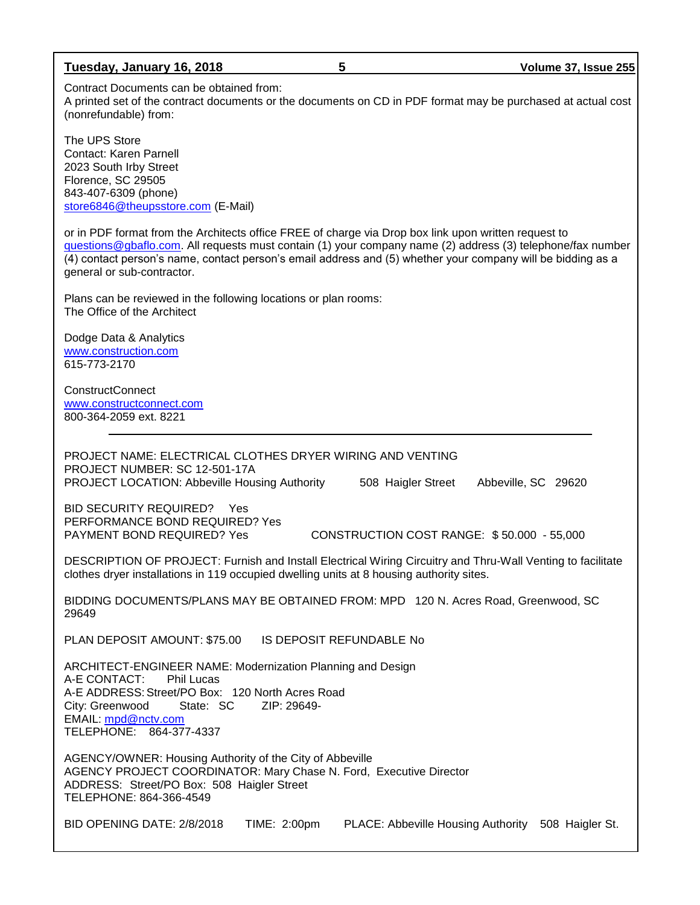| Tuesday, January 16, 2018                                                                                                                                                                                                                                                                                                                                       | 5 |                    | Volume 37, Issue 255 |
|-----------------------------------------------------------------------------------------------------------------------------------------------------------------------------------------------------------------------------------------------------------------------------------------------------------------------------------------------------------------|---|--------------------|----------------------|
| Contract Documents can be obtained from:<br>A printed set of the contract documents or the documents on CD in PDF format may be purchased at actual cost<br>(nonrefundable) from:                                                                                                                                                                               |   |                    |                      |
| The UPS Store<br>Contact: Karen Parnell<br>2023 South Irby Street<br>Florence, SC 29505<br>843-407-6309 (phone)<br>store6846@theupsstore.com (E-Mail)                                                                                                                                                                                                           |   |                    |                      |
| or in PDF format from the Architects office FREE of charge via Drop box link upon written request to<br>questions@gbaflo.com. All requests must contain (1) your company name (2) address (3) telephone/fax number<br>(4) contact person's name, contact person's email address and (5) whether your company will be bidding as a<br>general or sub-contractor. |   |                    |                      |
| Plans can be reviewed in the following locations or plan rooms:<br>The Office of the Architect                                                                                                                                                                                                                                                                  |   |                    |                      |
| Dodge Data & Analytics<br>www.construction.com<br>615-773-2170                                                                                                                                                                                                                                                                                                  |   |                    |                      |
| <b>ConstructConnect</b><br>www.constructconnect.com<br>800-364-2059 ext. 8221                                                                                                                                                                                                                                                                                   |   |                    |                      |
| PROJECT NAME: ELECTRICAL CLOTHES DRYER WIRING AND VENTING<br>PROJECT NUMBER: SC 12-501-17A<br><b>PROJECT LOCATION: Abbeville Housing Authority</b>                                                                                                                                                                                                              |   | 508 Haigler Street | Abbeville, SC 29620  |
| <b>BID SECURITY REQUIRED?</b><br>Yes                                                                                                                                                                                                                                                                                                                            |   |                    |                      |

PERFORMANCE BOND REQUIRED? Yes PAYMENT BOND REQUIRED? Yes CONSTRUCTION COST RANGE: \$50.000 - 55,000

DESCRIPTION OF PROJECT: Furnish and Install Electrical Wiring Circuitry and Thru-Wall Venting to facilitate clothes dryer installations in 119 occupied dwelling units at 8 housing authority sites.

BIDDING DOCUMENTS/PLANS MAY BE OBTAINED FROM: MPD 120 N. Acres Road, Greenwood, SC 29649

PLAN DEPOSIT AMOUNT: \$75.00 IS DEPOSIT REFUNDABLE No

ARCHITECT-ENGINEER NAME: Modernization Planning and Design A-E CONTACT: Phil Lucas A-E ADDRESS: Street/PO Box: 120 North Acres Road<br>City: Greenwood State: SC ZIP: 29649-City: Greenwood State: SC EMAIL: [mpd@nctv.com](mailto:mpd@nctv.com) TELEPHONE: 864-377-4337

AGENCY/OWNER: Housing Authority of the City of Abbeville AGENCY PROJECT COORDINATOR: Mary Chase N. Ford, Executive Director ADDRESS: Street/PO Box: 508 Haigler Street TELEPHONE: 864-366-4549

BID OPENING DATE: 2/8/2018 TIME: 2:00pm PLACE: Abbeville Housing Authority 508 Haigler St.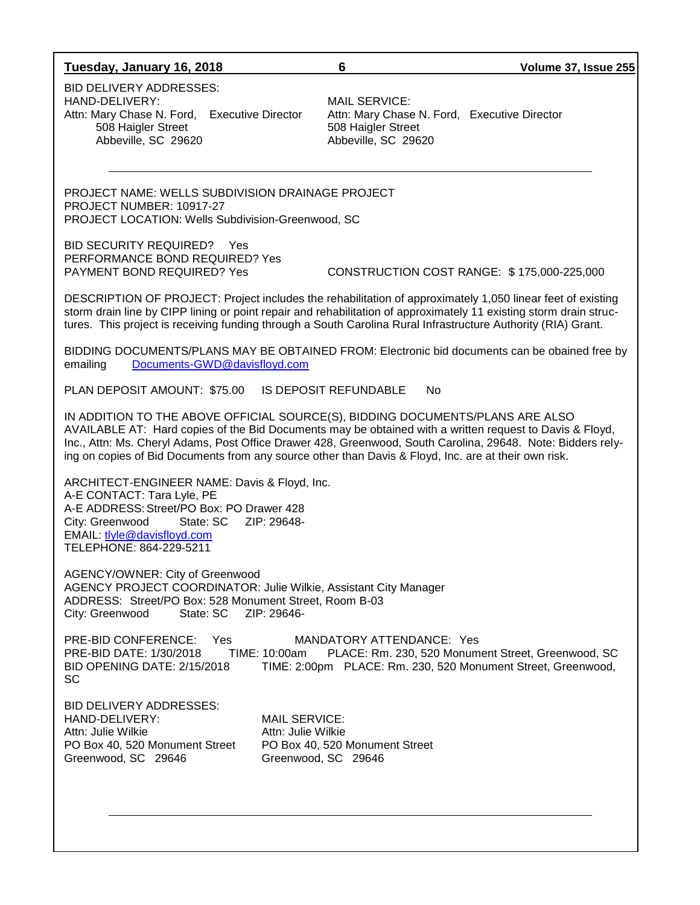### **Tuesday, January 16, 2018 6 Volume 37, Issue 255**

BID DELIVERY ADDRESSES: HAND-DELIVERY:<br>Attn: Mary Chase N. Ford, Executive Director Attn: Mary Chase N. Ford, Executive Director Attn: Mary Chase N. Ford, Executive Director 508 Haigler Street 508 Haigler Street Abbeville, SC 29620 Abbeville, SC 29620

PROJECT NAME: WELLS SUBDIVISION DRAINAGE PROJECT PROJECT NUMBER: 10917-27 PROJECT LOCATION: Wells Subdivision-Greenwood, SC

BID SECURITY REQUIRED? Yes PERFORMANCE BOND REQUIRED? Yes

PAYMENT BOND REQUIRED? Yes CONSTRUCTION COST RANGE: \$ 175,000-225,000

DESCRIPTION OF PROJECT: Project includes the rehabilitation of approximately 1,050 linear feet of existing storm drain line by CIPP lining or point repair and rehabilitation of approximately 11 existing storm drain structures. This project is receiving funding through a South Carolina Rural Infrastructure Authority (RIA) Grant.

BIDDING DOCUMENTS/PLANS MAY BE OBTAINED FROM: Electronic bid documents can be obained free by emailing [Documents-GWD@davisfloyd.com](mailto:Documents-GWD@davisfloyd.com)

PLAN DEPOSIT AMOUNT: \$75.00 IS DEPOSIT REFUNDABLE No

IN ADDITION TO THE ABOVE OFFICIAL SOURCE(S), BIDDING DOCUMENTS/PLANS ARE ALSO AVAILABLE AT: Hard copies of the Bid Documents may be obtained with a written request to Davis & Floyd, Inc., Attn: Ms. Cheryl Adams, Post Office Drawer 428, Greenwood, South Carolina, 29648. Note: Bidders relying on copies of Bid Documents from any source other than Davis & Floyd, Inc. are at their own risk.

ARCHITECT-ENGINEER NAME: Davis & Floyd, Inc. A-E CONTACT: Tara Lyle, PE A-E ADDRESS:Street/PO Box: PO Drawer 428 City: Greenwood State: SC ZIP: 29648- EMAIL: [tlyle@davisfloyd.com](mailto:tlyle@davisfloyd.com) TELEPHONE: 864-229-5211

AGENCY/OWNER: City of Greenwood AGENCY PROJECT COORDINATOR: Julie Wilkie, Assistant City Manager ADDRESS: Street/PO Box: 528 Monument Street, Room B-03 City: Greenwood State: SC ZIP: 29646-

PRE-BID CONFERENCE: Yes MANDATORY ATTENDANCE: Yes PRE-BID DATE: 1/30/2018 TIME: 10:00am PLACE: Rm. 230, 520 Monument Street, Greenwood, SC BID OPENING DATE: 2/15/2018 TIME: 2:00pm PLACE: Rm. 230, 520 Monument Street, Greenwood, SC

BID DELIVERY ADDRESSES: HAND-DELIVERY: MAIL SERVICE: Attn: Julie Wilkie Attn: Julie Wilkie PO Box 40, 520 Monument Street PO Box 40, 520 Monument Street Greenwood, SC 29646 Greenwood, SC 29646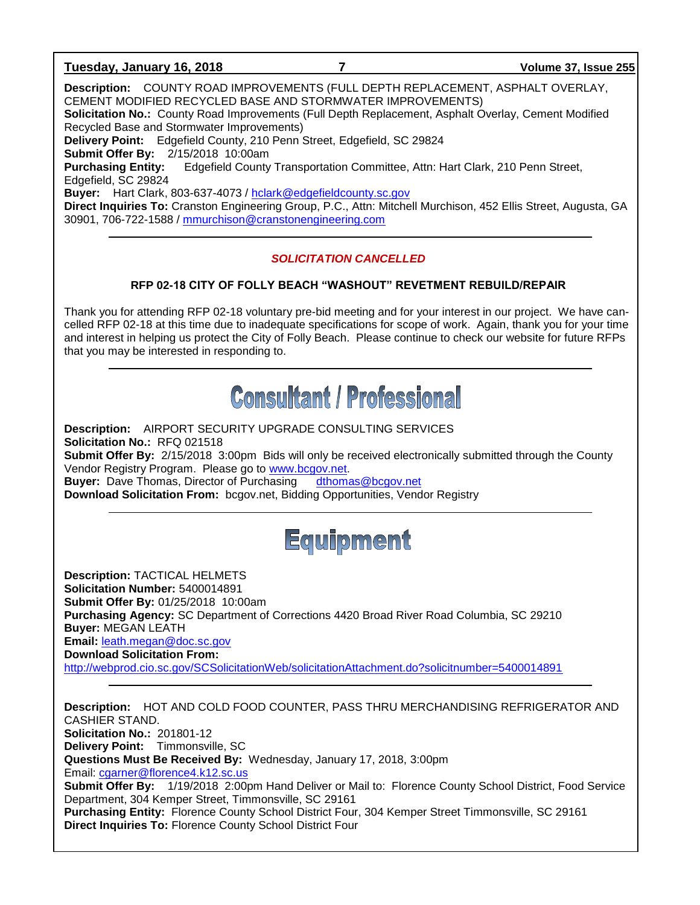### **Tuesday, January 16, 2018 7 Volume 37, Issue 255**

**Description:** COUNTY ROAD IMPROVEMENTS (FULL DEPTH REPLACEMENT, ASPHALT OVERLAY, CEMENT MODIFIED RECYCLED BASE AND STORMWATER IMPROVEMENTS) **Solicitation No.:** County Road Improvements (Full Depth Replacement, Asphalt Overlay, Cement Modified Recycled Base and Stormwater Improvements) **Delivery Point:** Edgefield County, 210 Penn Street, Edgefield, SC 29824 **Submit Offer By:** 2/15/2018 10:00am **Purchasing Entity:** Edgefield County Transportation Committee, Attn: Hart Clark, 210 Penn Street, Edgefield, SC 29824 **Buyer:** Hart Clark, 803-637-4073 / [hclark@edgefieldcounty.sc.gov](mailto:hclark@edgefieldcounty.sc.gov) **Direct Inquiries To:** Cranston Engineering Group, P.C., Attn: Mitchell Murchison, 452 Ellis Street, Augusta, GA 30901, 706-722-1588 / [mmurchison@cranstonengineering.com](mailto:mmurchison@cranstonengineering.com)

### *SOLICITATION CANCELLED*

### **RFP 02-18 CITY OF FOLLY BEACH "WASHOUT" REVETMENT REBUILD/REPAIR**

Thank you for attending RFP 02-18 voluntary pre-bid meeting and for your interest in our project. We have cancelled RFP 02-18 at this time due to inadequate specifications for scope of work. Again, thank you for your time and interest in helping us protect the City of Folly Beach. Please continue to check our website for future RFPs that you may be interested in responding to.

## **Consultant / Professional**

**Description:** AIRPORT SECURITY UPGRADE CONSULTING SERVICES **Solicitation No.:** RFQ 021518 **Submit Offer By:** 2/15/2018 3:00pm Bids will only be received electronically submitted through the County Vendor Registry Program. Please go to [www.bcgov.net.](http://www.bcgov.net/) **Buyer:** Dave Thomas, Director of Purchasing [dthomas@bcgov.net](mailto:dthomas@bcgov.net) **Download Solicitation From:** bcgov.net, Bidding Opportunities, Vendor Registry



**Description:** TACTICAL HELMETS **Solicitation Number:** 5400014891 **Submit Offer By:** 01/25/2018 10:00am **Purchasing Agency:** SC Department of Corrections 4420 Broad River Road Columbia, SC 29210 **Buyer:** MEGAN LEATH **Email:** [leath.megan@doc.sc.gov](mailto:leath.megan@doc.sc.gov) **Download Solicitation From:**  <http://webprod.cio.sc.gov/SCSolicitationWeb/solicitationAttachment.do?solicitnumber=5400014891>

**Description:** HOT AND COLD FOOD COUNTER, PASS THRU MERCHANDISING REFRIGERATOR AND CASHIER STAND. **Solicitation No.:** 201801-12 **Delivery Point:** Timmonsville, SC **Questions Must Be Received By:** Wednesday, January 17, 2018, 3:00pm Email: [cgarner@florence4.k12.sc.us](mailto:cgarner@florence4.k12.sc.us) **Submit Offer By:** 1/19/2018 2:00pm Hand Deliver or Mail to: Florence County School District, Food Service Department, 304 Kemper Street, Timmonsville, SC 29161 **Purchasing Entity:** Florence County School District Four, 304 Kemper Street Timmonsville, SC 29161 **Direct Inquiries To:** Florence County School District Four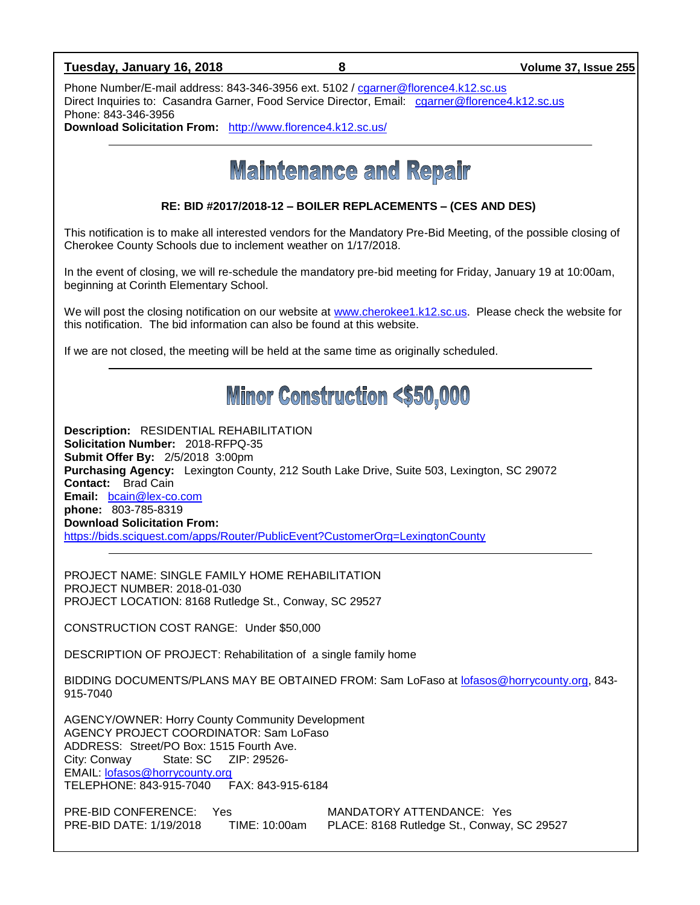### **Tuesday, January 16, 2018 8 Volume 37, Issue 255**

Phone Number/E-mail address: 843-346-3956 ext. 5102 / [cgarner@florence4.k12.sc.us](mailto:cgarner@florence4.k12.sc.us) Direct Inquiries to: Casandra Garner, Food Service Director, Email: [cgarner@florence4.k12.sc.us](mailto:cgarner@florence4.k12.sc.us) Phone: 843-346-3956

**Download Solicitation From:** <http://www.florence4.k12.sc.us/>

**Maintenance and Repair** 

**RE: BID #2017/2018-12 – BOILER REPLACEMENTS – (CES AND DES)**

This notification is to make all interested vendors for the Mandatory Pre-Bid Meeting, of the possible closing of Cherokee County Schools due to inclement weather on 1/17/2018.

In the event of closing, we will re-schedule the mandatory pre-bid meeting for Friday, January 19 at 10:00am, beginning at Corinth Elementary School.

We will post the closing notification on our website at [www.cherokee1.k12.sc.us.](http://www.cherokee1.k12.sc.us/) Please check the website for this notification. The bid information can also be found at this website.

If we are not closed, the meeting will be held at the same time as originally scheduled.

## **Minor Construction <\$50,000**

**Description:** RESIDENTIAL REHABILITATION **Solicitation Number:** 2018-RFPQ-35 **Submit Offer By:** 2/5/2018 3:00pm **Purchasing Agency:** Lexington County, 212 South Lake Drive, Suite 503, Lexington, SC 29072 **Contact:** Brad Cain **Email:** [bcain@lex-co.com](mailto:bcain@lex-co.com) **phone:** 803-785-8319 **Download Solicitation From:**  <https://bids.sciquest.com/apps/Router/PublicEvent?CustomerOrg=LexingtonCounty>

PROJECT NAME: SINGLE FAMILY HOME REHABILITATION PROJECT NUMBER: 2018-01-030 PROJECT LOCATION: 8168 Rutledge St., Conway, SC 29527

CONSTRUCTION COST RANGE: Under \$50,000

DESCRIPTION OF PROJECT: Rehabilitation of a single family home

BIDDING DOCUMENTS/PLANS MAY BE OBTAINED FROM: Sam LoFaso at [lofasos@horrycounty.org,](mailto:lofasos@horrycounty.org) 843- 915-7040

AGENCY/OWNER: Horry County Community Development AGENCY PROJECT COORDINATOR: Sam LoFaso ADDRESS: Street/PO Box: 1515 Fourth Ave. City: Conway State: SC ZIP: 29526- EMAIL: [lofasos@horrycounty.org](mailto:lofasos@horrycounty.org) TELEPHONE: 843-915-7040 FAX: 843-915-6184

PRE-BID CONFERENCE: Yes MANDATORY ATTENDANCE: Yes<br>PRE-BID DATE: 1/19/2018 TIME: 10:00am PLACE: 8168 Rutledge St., Conway, PRE-BID DATE: 1/19/2018 TIME: 10:00am PLACE: 8168 Rutledge St., Conway, SC 29527

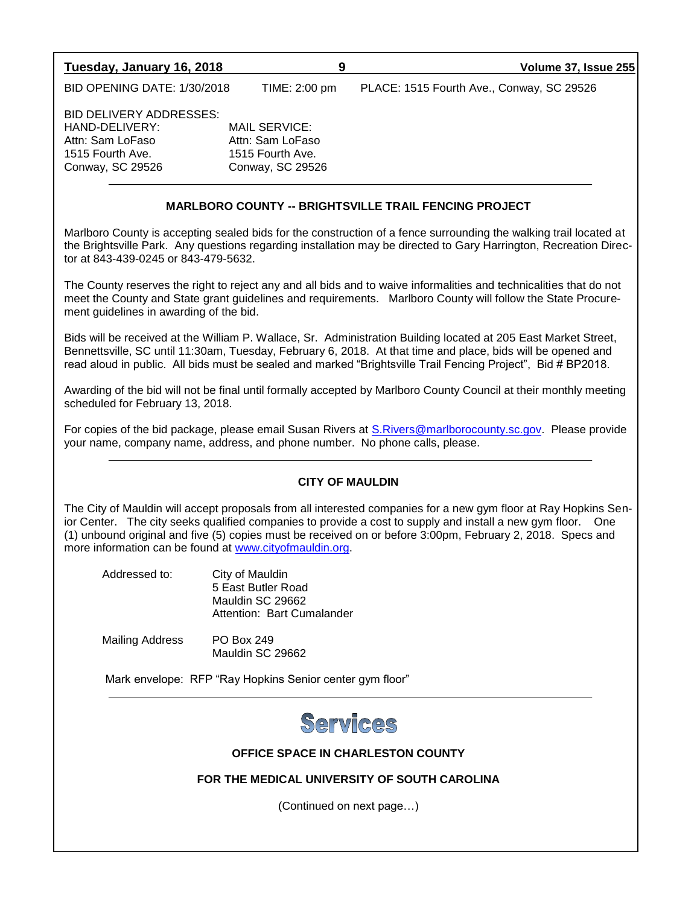| Tuesday, January 16, 2018                                                                             | 9                                                                         | <b>Volume 37, Issue 255</b>               |
|-------------------------------------------------------------------------------------------------------|---------------------------------------------------------------------------|-------------------------------------------|
| <b>BID OPENING DATE: 1/30/2018</b>                                                                    | TIME: 2:00 pm                                                             | PLACE: 1515 Fourth Ave., Conway, SC 29526 |
| BID DELIVERY ADDRESSES:<br>HAND-DELIVERY:<br>Attn: Sam LoFaso<br>1515 Fourth Ave.<br>Conway, SC 29526 | MAIL SERVICE:<br>Attn: Sam LoFaso<br>1515 Fourth Ave.<br>Conway, SC 29526 |                                           |

### **MARLBORO COUNTY -- BRIGHTSVILLE TRAIL FENCING PROJECT**

Marlboro County is accepting sealed bids for the construction of a fence surrounding the walking trail located at the Brightsville Park. Any questions regarding installation may be directed to Gary Harrington, Recreation Director at 843-439-0245 or 843-479-5632.

The County reserves the right to reject any and all bids and to waive informalities and technicalities that do not meet the County and State grant guidelines and requirements. Marlboro County will follow the State Procurement guidelines in awarding of the bid.

Bids will be received at the William P. Wallace, Sr. Administration Building located at 205 East Market Street, Bennettsville, SC until 11:30am, Tuesday, February 6, 2018. At that time and place, bids will be opened and read aloud in public. All bids must be sealed and marked "Brightsville Trail Fencing Project", Bid # BP2018.

Awarding of the bid will not be final until formally accepted by Marlboro County Council at their monthly meeting scheduled for February 13, 2018.

For copies of the bid package, please email Susan Rivers at [S.Rivers@marlborocounty.sc.gov.](mailto:S.Rivers@marlborocounty.sc.gov) Please provide your name, company name, address, and phone number. No phone calls, please.

### **CITY OF MAULDIN**

The City of Mauldin will accept proposals from all interested companies for a new gym floor at Ray Hopkins Senior Center. The city seeks qualified companies to provide a cost to supply and install a new gym floor. One (1) unbound original and five (5) copies must be received on or before 3:00pm, February 2, 2018. Specs and more information can be found at [www.cityofmauldin.org.](http://www.cityofmauldin.org/)

| Addressed to: | City of Mauldin            |
|---------------|----------------------------|
|               | 5 East Butler Road         |
|               | Mauldin SC 29662           |
|               | Attention: Bart Cumalander |
|               |                            |

Mailing Address PO Box 249 Mauldin SC 29662

Mark envelope: RFP "Ray Hopkins Senior center gym floor"



### **OFFICE SPACE IN CHARLESTON COUNTY**

**FOR THE MEDICAL UNIVERSITY OF SOUTH CAROLINA**

(Continued on next page…)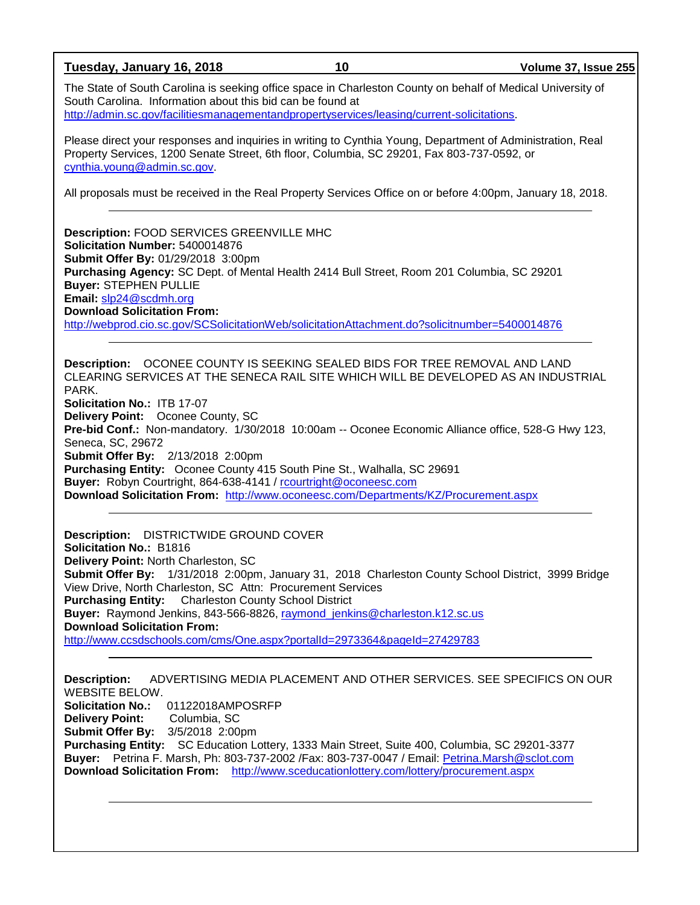**Tuesday, January 16, 2018 10 Volume 37, Issue 255** The State of South Carolina is seeking office space in Charleston County on behalf of Medical University of South Carolina. Information about this bid can be found at [http://admin.sc.gov/facilitiesmanagementandpropertyservices/leasing/current-solicitations.](http://admin.sc.gov/facilitiesmanagementandpropertyservices/leasing/current-solicitations) Please direct your responses and inquiries in writing to Cynthia Young, Department of Administration, Real Property Services, 1200 Senate Street, 6th floor, Columbia, SC 29201, Fax 803-737-0592, or [cynthia.young@admin.sc.gov.](mailto:cynthia.young@admin.sc.gov) All proposals must be received in the Real Property Services Office on or before 4:00pm, January 18, 2018. **Description:** FOOD SERVICES GREENVILLE MHC **Solicitation Number:** 5400014876 **Submit Offer By:** 01/29/2018 3:00pm **Purchasing Agency:** SC Dept. of Mental Health 2414 Bull Street, Room 201 Columbia, SC 29201 **Buyer:** STEPHEN PULLIE **Email:** [slp24@scdmh.org](mailto:slp24@scdmh.org) **Download Solicitation From:**  <http://webprod.cio.sc.gov/SCSolicitationWeb/solicitationAttachment.do?solicitnumber=5400014876> **Description:** OCONEE COUNTY IS SEEKING SEALED BIDS FOR TREE REMOVAL AND LAND CLEARING SERVICES AT THE SENECA RAIL SITE WHICH WILL BE DEVELOPED AS AN INDUSTRIAL PARK. **Solicitation No.:** ITB 17-07 **Delivery Point:** Oconee County, SC **Pre-bid Conf.:** Non-mandatory. 1/30/2018 10:00am -- Oconee Economic Alliance office, 528-G Hwy 123, Seneca, SC, 29672 **Submit Offer By:** 2/13/2018 2:00pm **Purchasing Entity:** Oconee County 415 South Pine St., Walhalla, SC 29691 **Buyer:** Robyn Courtright, 864-638-4141 / [rcourtright@oconeesc.com](mailto:rcourtright@oconeesc.com) **Download Solicitation From:** <http://www.oconeesc.com/Departments/KZ/Procurement.aspx> **Description:** DISTRICTWIDE GROUND COVER **Solicitation No.:** B1816 **Delivery Point:** North Charleston, SC **Submit Offer By:** 1/31/2018 2:00pm, January 31, 2018 Charleston County School District, 3999 Bridge View Drive, North Charleston, SC Attn: Procurement Services **Purchasing Entity:** Charleston County School District **Buyer:** Raymond Jenkins, 843-566-8826, [raymond\\_jenkins@charleston.k12.sc.us](mailto:raymond_jenkins@charleston.k12.sc.us) **Download Solicitation From:** <http://www.ccsdschools.com/cms/One.aspx?portalId=2973364&pageId=27429783> **Description:** ADVERTISING MEDIA PLACEMENT AND OTHER SERVICES. SEE SPECIFICS ON OUR WEBSITE BELOW. **Solicitation No.:** 01122018AMPOSRFP **Delivery Point:** Columbia, SC **Submit Offer By:** 3/5/2018 2:00pm **Purchasing Entity:** SC Education Lottery, 1333 Main Street, Suite 400, Columbia, SC 29201-3377 **Buyer:** Petrina F. Marsh, Ph: 803-737-2002 /Fax: 803-737-0047 / Email: [Petrina.Marsh@sclot.com](mailto:Petrina.Marsh@sclot.com) **Download Solicitation From:** <http://www.sceducationlottery.com/lottery/procurement.aspx>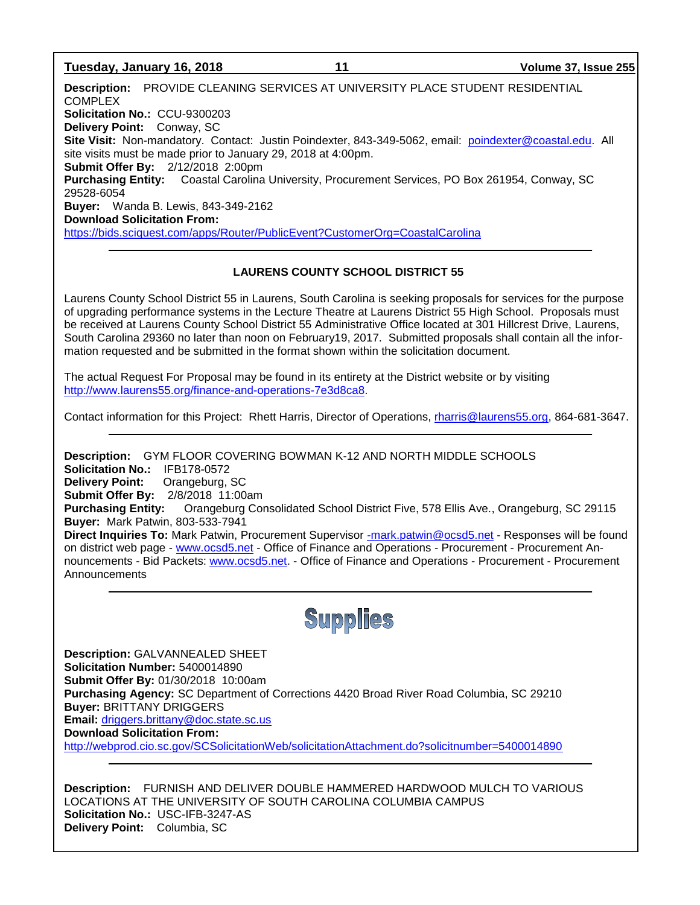### **Tuesday, January 16, 2018 11 Volume 37, Issue 255**

**Description:** PROVIDE CLEANING SERVICES AT UNIVERSITY PLACE STUDENT RESIDENTIAL **COMPLEX Solicitation No.:** CCU-9300203 **Delivery Point:** Conway, SC **Site Visit:** Non-mandatory. Contact: Justin Poindexter, 843-349-5062, email: [poindexter@coastal.edu.](mailto:poindexter@coastal.edu) All site visits must be made prior to January 29, 2018 at 4:00pm. **Submit Offer By:** 2/12/2018 2:00pm **Purchasing Entity:** Coastal Carolina University, Procurement Services, PO Box 261954, Conway, SC 29528-6054 **Buyer:** Wanda B. Lewis, 843-349-2162 **Download Solicitation From:** <https://bids.sciquest.com/apps/Router/PublicEvent?CustomerOrg=CoastalCarolina>

### **LAURENS COUNTY SCHOOL DISTRICT 55**

Laurens County School District 55 in Laurens, South Carolina is seeking proposals for services for the purpose of upgrading performance systems in the Lecture Theatre at Laurens District 55 High School. Proposals must be received at Laurens County School District 55 Administrative Office located at 301 Hillcrest Drive, Laurens, South Carolina 29360 no later than noon on February19, 2017. Submitted proposals shall contain all the information requested and be submitted in the format shown within the solicitation document.

The actual Request For Proposal may be found in its entirety at the District website or by visiting [http://www.laurens55.org/finance-and-operations-7e3d8ca8.](http://www.laurens55.org/finance-and-operations-7e3d8ca8)

Contact information for this Project: Rhett Harris, Director of Operations, [rharris@laurens55.org,](mailto:rharris@laurens55.org) 864-681-3647.

**Description:** GYM FLOOR COVERING BOWMAN K-12 AND NORTH MIDDLE SCHOOLS **Solicitation No.:** IFB178-0572 **Delivery Point:** Orangeburg, SC **Submit Offer By:** 2/8/2018 11:00am **Purchasing Entity:** Orangeburg Consolidated School District Five, 578 Ellis Ave., Orangeburg, SC 29115 **Buyer:** Mark Patwin, 803-533-7941 **Direct Inquiries To:** Mark Patwin, Procurement Supervisor [-mark.patwin@ocsd5.net](mailto:-mark.patwin@ocsd5.net) - Responses will be found on district web page - [www.ocsd5.net](http://www.ocsd5.net/) - Office of Finance and Operations - Procurement - Procurement Announcements - Bid Packets: [www.ocsd5.net.](http://www.ocsd5.net/) - Office of Finance and Operations - Procurement - Procurement Announcements



**Description:** GALVANNEALED SHEET **Solicitation Number:** 5400014890 **Submit Offer By:** 01/30/2018 10:00am **Purchasing Agency:** SC Department of Corrections 4420 Broad River Road Columbia, SC 29210 **Buyer:** BRITTANY DRIGGERS **Email:** [driggers.brittany@doc.state.sc.us](mailto:driggers.brittany@doc.state.sc.us) **Download Solicitation From:**  <http://webprod.cio.sc.gov/SCSolicitationWeb/solicitationAttachment.do?solicitnumber=5400014890>

**Description:** FURNISH AND DELIVER DOUBLE HAMMERED HARDWOOD MULCH TO VARIOUS LOCATIONS AT THE UNIVERSITY OF SOUTH CAROLINA COLUMBIA CAMPUS **Solicitation No.:** USC-IFB-3247-AS **Delivery Point:** Columbia, SC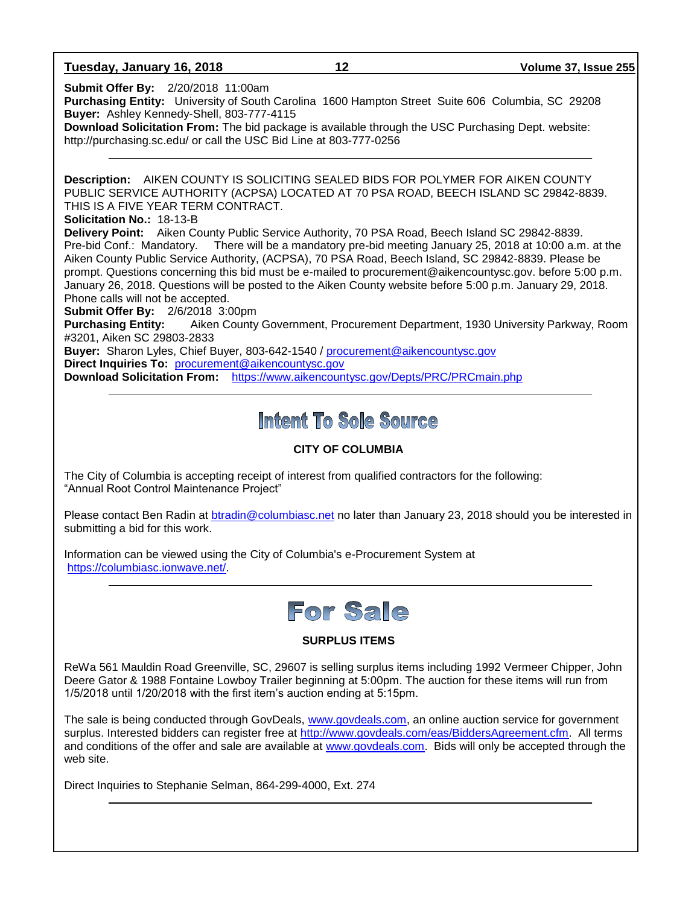**Tuesday, January 16, 2018 12 Volume 37, Issue 255**

**Submit Offer By:** 2/20/2018 11:00am

**Purchasing Entity:** University of South Carolina 1600 Hampton Street Suite 606 Columbia, SC 29208 **Buyer:** Ashley Kennedy-Shell, 803-777-4115

**Download Solicitation From:** The bid package is available through the USC Purchasing Dept. website: http://purchasing.sc.edu/ or call the USC Bid Line at 803-777-0256

**Description:** AIKEN COUNTY IS SOLICITING SEALED BIDS FOR POLYMER FOR AIKEN COUNTY PUBLIC SERVICE AUTHORITY (ACPSA) LOCATED AT 70 PSA ROAD, BEECH ISLAND SC 29842-8839. THIS IS A FIVE YEAR TERM CONTRACT.

**Solicitation No.:** 18-13-B

**Delivery Point:** Aiken County Public Service Authority, 70 PSA Road, Beech Island SC 29842-8839. Pre-bid Conf.: Mandatory. There will be a mandatory pre-bid meeting January 25, 2018 at 10:00 a.m. at the Aiken County Public Service Authority, (ACPSA), 70 PSA Road, Beech Island, SC 29842-8839. Please be prompt. Questions concerning this bid must be e-mailed to procurement@aikencountysc.gov. before 5:00 p.m. January 26, 2018. Questions will be posted to the Aiken County website before 5:00 p.m. January 29, 2018. Phone calls will not be accepted.

**Submit Offer By:** 2/6/2018 3:00pm

**Purchasing Entity:** Aiken County Government, Procurement Department, 1930 University Parkway, Room #3201, Aiken SC 29803-2833

**Buyer:** Sharon Lyles, Chief Buyer, 803-642-1540 / [procurement@aikencountysc.gov](mailto:procurement@aikencountysc.gov)  **Direct Inquiries To:** [procurement@aikencountysc.gov](mailto:procurement@aikencountysc.gov)

**Download Solicitation From:** <https://www.aikencountysc.gov/Depts/PRC/PRCmain.php>

## Intent To Sole Source

### **CITY OF COLUMBIA**

The City of Columbia is accepting receipt of interest from qualified contractors for the following: "Annual Root Control Maintenance Project"

Please contact Ben Radin at [btradin@columbiasc.net](mailto:btradin@columbiasc.net) no later than January 23, 2018 should you be interested in submitting a bid for this work.

Information can be viewed using the City of Columbia's e-Procurement System at [https://columbiasc.ionwave.net/.](https://columbiasc.ionwave.net/)



### **SURPLUS ITEMS**

ReWa 561 Mauldin Road Greenville, SC, 29607 is selling surplus items including 1992 Vermeer Chipper, John Deere Gator & 1988 Fontaine Lowboy Trailer beginning at 5:00pm. The auction for these items will run from 1/5/2018 until 1/20/2018 with the first item's auction ending at 5:15pm.

The sale is being conducted through GovDeals, [www.govdeals.com,](http://www.govdeals.com/) an online auction service for government surplus. Interested bidders can register free at [http://www.govdeals.com/eas/BiddersAgreement.cfm.](http://www.govdeals.com/eas/BiddersAgreement.cfm) All terms and conditions of the offer and sale are available at [www.govdeals.com.](http://www.govdeals.com/) Bids will only be accepted through the web site.

Direct Inquiries to Stephanie Selman, 864-299-4000, Ext. 274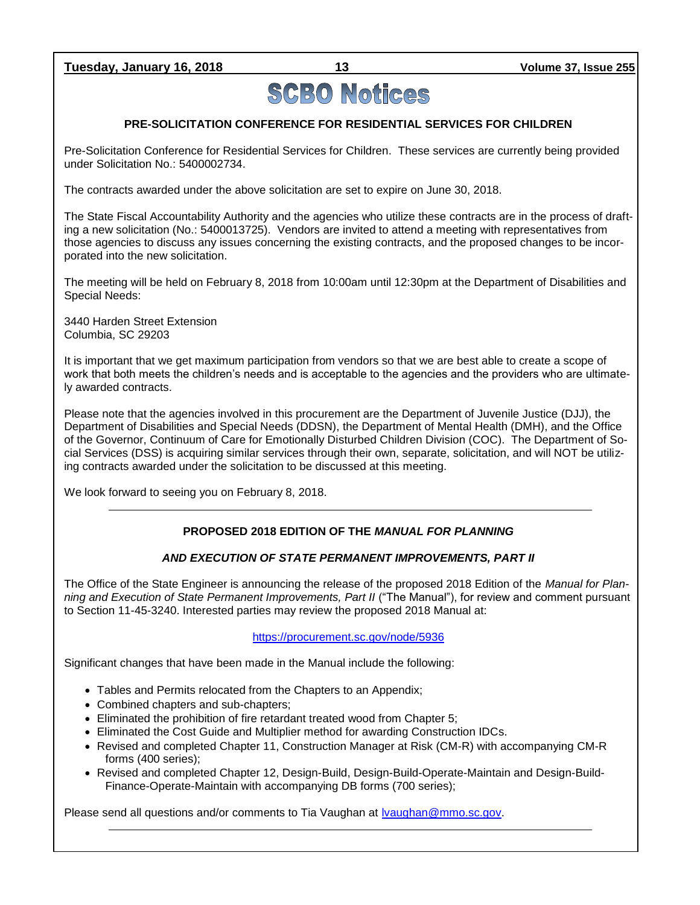**Tuesday, January 16, 2018 13 Volume 37, Issue 255**

# **SCBO Notices**

### **PRE-SOLICITATION CONFERENCE FOR RESIDENTIAL SERVICES FOR CHILDREN**

Pre-Solicitation Conference for Residential Services for Children. These services are currently being provided under Solicitation No.: 5400002734.

The contracts awarded under the above solicitation are set to expire on June 30, 2018.

The State Fiscal Accountability Authority and the agencies who utilize these contracts are in the process of drafting a new solicitation (No.: 5400013725). Vendors are invited to attend a meeting with representatives from those agencies to discuss any issues concerning the existing contracts, and the proposed changes to be incorporated into the new solicitation.

The meeting will be held on February 8, 2018 from 10:00am until 12:30pm at the Department of Disabilities and Special Needs:

3440 Harden Street Extension Columbia, SC 29203

It is important that we get maximum participation from vendors so that we are best able to create a scope of work that both meets the children's needs and is acceptable to the agencies and the providers who are ultimately awarded contracts.

Please note that the agencies involved in this procurement are the Department of Juvenile Justice (DJJ), the Department of Disabilities and Special Needs (DDSN), the Department of Mental Health (DMH), and the Office of the Governor, Continuum of Care for Emotionally Disturbed Children Division (COC). The Department of Social Services (DSS) is acquiring similar services through their own, separate, solicitation, and will NOT be utilizing contracts awarded under the solicitation to be discussed at this meeting.

We look forward to seeing you on February 8, 2018.

### **PROPOSED 2018 EDITION OF THE** *MANUAL FOR PLANNING*

### *AND EXECUTION OF STATE PERMANENT IMPROVEMENTS, PART II*

The Office of the State Engineer is announcing the release of the proposed 2018 Edition of the *Manual for Planning and Execution of State Permanent Improvements, Part II* ("The Manual"), for review and comment pursuant to Section 11-45-3240. Interested parties may review the proposed 2018 Manual at:

### <https://procurement.sc.gov/node/5936>

Significant changes that have been made in the Manual include the following:

- Tables and Permits relocated from the Chapters to an Appendix;
- Combined chapters and sub-chapters;
- Eliminated the prohibition of fire retardant treated wood from Chapter 5;
- Eliminated the Cost Guide and Multiplier method for awarding Construction IDCs.
- Revised and completed Chapter 11, Construction Manager at Risk (CM-R) with accompanying CM-R forms (400 series);
- Revised and completed Chapter 12, Design-Build, Design-Build-Operate-Maintain and Design-Build-Finance-Operate-Maintain with accompanying DB forms (700 series);

Please send all questions and/or comments to Tia Vaughan at Ivaughan@mmo.sc.gov.